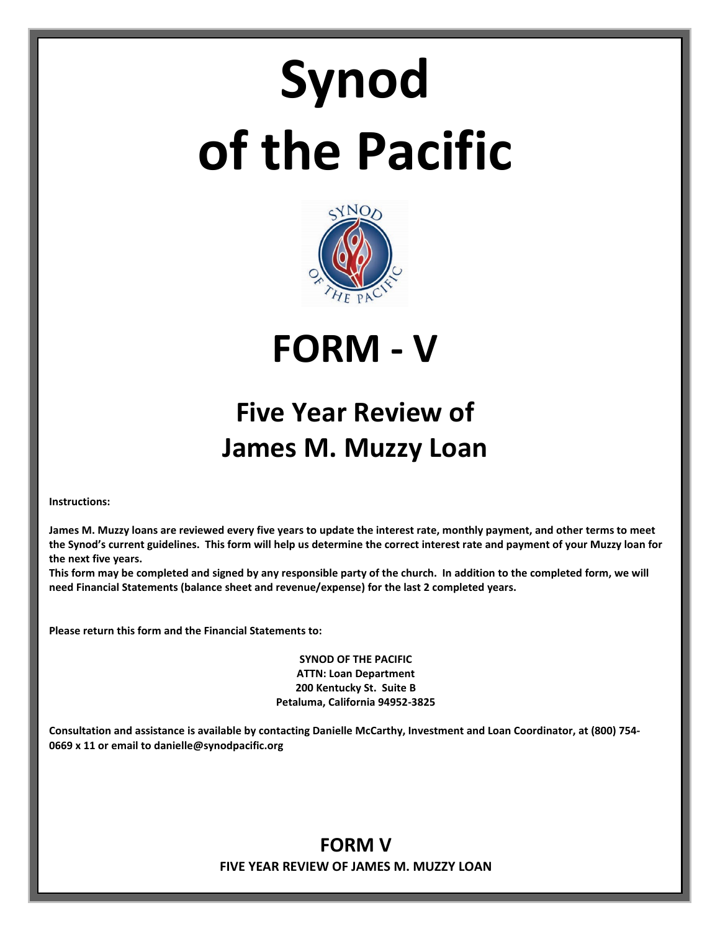# **Synod of the Pacific**



**FORM - V**

# **Five Year Review of James M. Muzzy Loan**

**Instructions:**

**James M. Muzzy loans are reviewed every five years to update the interest rate, monthly payment, and other terms to meet the Synod's current guidelines. This form will help us determine the correct interest rate and payment of your Muzzy loan for the next five years.** 

**This form may be completed and signed by any responsible party of the church. In addition to the completed form, we will need Financial Statements (balance sheet and revenue/expense) for the last 2 completed years.**

**Please return this form and the Financial Statements to:**

**SYNOD OF THE PACIFIC ATTN: Loan Department 200 Kentucky St. Suite B Petaluma, California 94952-3825**

**Consultation and assistance is available by contacting Danielle McCarthy, Investment and Loan Coordinator, at (800) 754- 0669 x 11 or email to danielle@synodpacific.org**

## **FORM V FIVE YEAR REVIEW OF JAMES M. MUZZY LOAN**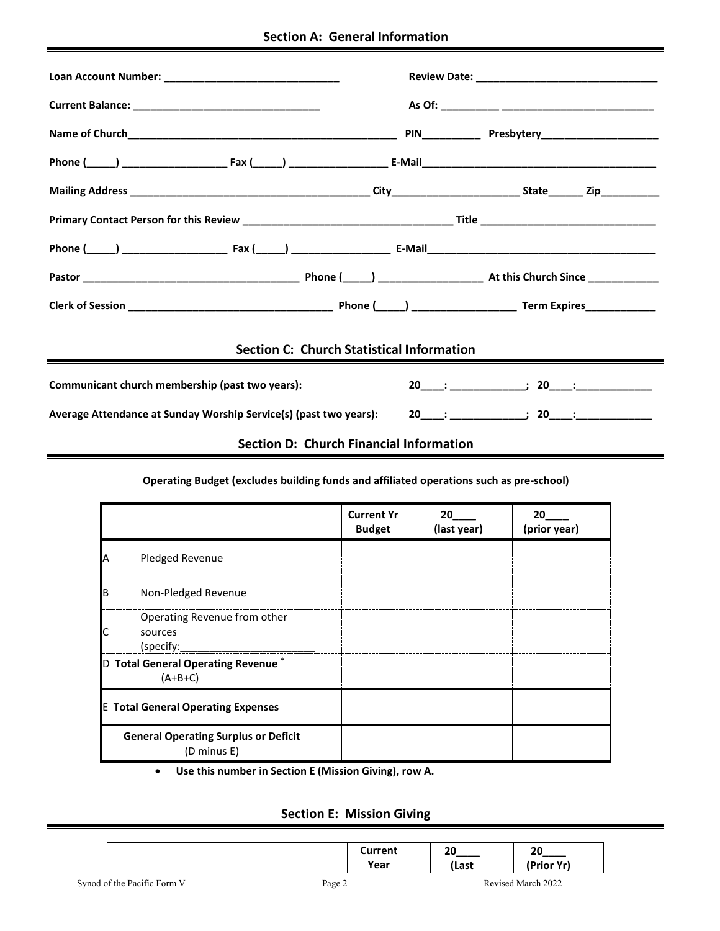|  |  | <b>Section A: General Information</b> |
|--|--|---------------------------------------|
|--|--|---------------------------------------|

|                                                                   | <b>Section C: Church Statistical Information</b> |  |  |
|-------------------------------------------------------------------|--------------------------------------------------|--|--|
| Communicant church membership (past two years):                   |                                                  |  |  |
| Average Attendance at Sunday Worship Service(s) (past two years): |                                                  |  |  |
|                                                                   | Section D: Church Financial Information          |  |  |
|                                                                   |                                                  |  |  |

#### **Operating Budget (excludes building funds and affiliated operations such as pre-school)**

|    |                                                             | <b>Current Yr</b><br><b>Budget</b> | 20<br>(last year) | 20<br>(prior year) |
|----|-------------------------------------------------------------|------------------------------------|-------------------|--------------------|
| IA | Pledged Revenue                                             |                                    |                   |                    |
| IΒ | Non-Pledged Revenue                                         |                                    |                   |                    |
| IС | Operating Revenue from other<br>sources<br>(specify:        |                                    |                   |                    |
|    | D Total General Operating Revenue <sup>*</sup><br>$(A+B+C)$ |                                    |                   |                    |
|    | <b>E Total General Operating Expenses</b>                   |                                    |                   |                    |
|    | <b>General Operating Surplus or Deficit</b><br>(D minus E)  |                                    |                   |                    |

• **Use this number in Section E (Mission Giving), row A.**

### **Section E: Mission Giving**

|                             | Current<br>Year | 20<br>(Last | 20<br>(Prior Yr)   |  |
|-----------------------------|-----------------|-------------|--------------------|--|
| Synod of the Pacific Form V | Page 2          |             | Revised March 2022 |  |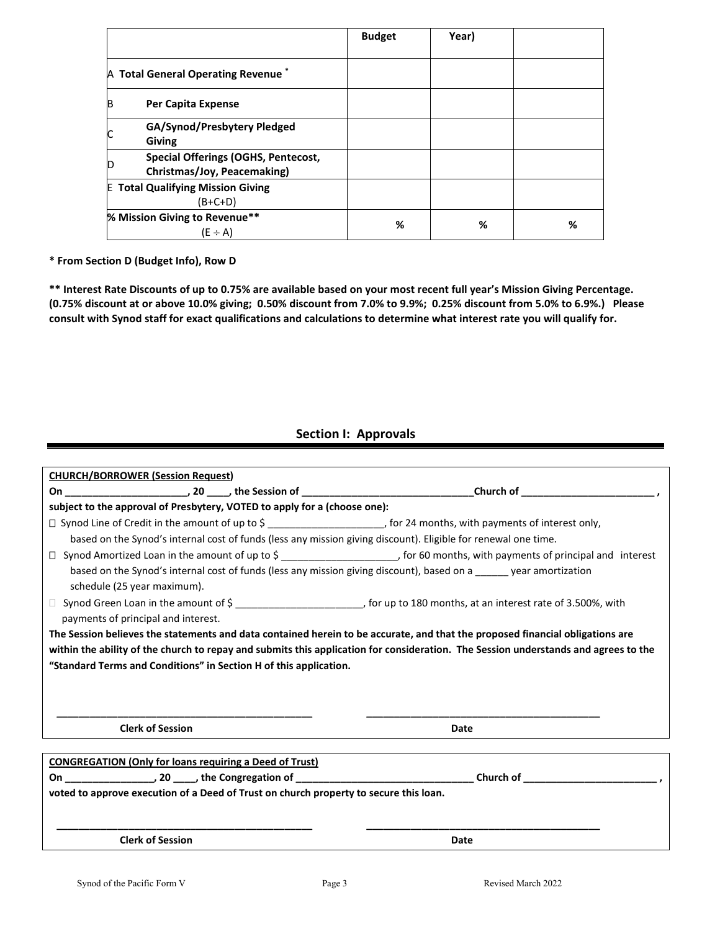|   |                                                                           | <b>Budget</b> | Year) |   |
|---|---------------------------------------------------------------------------|---------------|-------|---|
|   | A Total General Operating Revenue <sup>*</sup>                            |               |       |   |
| B | Per Capita Expense                                                        |               |       |   |
|   | GA/Synod/Presbytery Pledged<br><b>Giving</b>                              |               |       |   |
|   | <b>Special Offerings (OGHS, Pentecost,</b><br>Christmas/Joy, Peacemaking) |               |       |   |
|   | <b>E</b> Total Qualifying Mission Giving<br>$(B+C+D)$                     |               |       |   |
|   | % Mission Giving to Revenue**<br>$(E \div A)$                             | %             | %     | ℅ |

**\* From Section D (Budget Info), Row D**

**\*\* Interest Rate Discounts of up to 0.75% are available based on your most recent full year's Mission Giving Percentage. (0.75% discount at or above 10.0% giving; 0.50% discount from 7.0% to 9.9%; 0.25% discount from 5.0% to 6.9%.) Please consult with Synod staff for exact qualifications and calculations to determine what interest rate you will qualify for.**

#### **Section I: Approvals**

| <b>CHURCH/BORROWER (Session Request)</b>                                                                                                                                                                                                                                                                                                  |      |  |  |  |
|-------------------------------------------------------------------------------------------------------------------------------------------------------------------------------------------------------------------------------------------------------------------------------------------------------------------------------------------|------|--|--|--|
|                                                                                                                                                                                                                                                                                                                                           |      |  |  |  |
| subject to the approval of Presbytery, VOTED to apply for a (choose one):                                                                                                                                                                                                                                                                 |      |  |  |  |
| □ Synod Line of Credit in the amount of up to \$ ________________________________ for 24 months, with payments of interest only,                                                                                                                                                                                                          |      |  |  |  |
| based on the Synod's internal cost of funds (less any mission giving discount). Eligible for renewal one time.                                                                                                                                                                                                                            |      |  |  |  |
| □ Synod Amortized Loan in the amount of up to \$ ________________________________, for 60 months, with payments of principal and interest                                                                                                                                                                                                 |      |  |  |  |
| based on the Synod's internal cost of funds (less any mission giving discount), based on a ______ year amortization<br>schedule (25 year maximum).                                                                                                                                                                                        |      |  |  |  |
| payments of principal and interest.                                                                                                                                                                                                                                                                                                       |      |  |  |  |
| The Session believes the statements and data contained herein to be accurate, and that the proposed financial obligations are<br>within the ability of the church to repay and submits this application for consideration. The Session understands and agrees to the<br>"Standard Terms and Conditions" in Section H of this application. |      |  |  |  |
| <b>Clerk of Session</b>                                                                                                                                                                                                                                                                                                                   | Date |  |  |  |
|                                                                                                                                                                                                                                                                                                                                           |      |  |  |  |
| <b>CONGREGATION (Only for loans requiring a Deed of Trust)</b>                                                                                                                                                                                                                                                                            |      |  |  |  |
|                                                                                                                                                                                                                                                                                                                                           |      |  |  |  |
| voted to approve execution of a Deed of Trust on church property to secure this loan.                                                                                                                                                                                                                                                     |      |  |  |  |
| <b>Clerk of Session</b>                                                                                                                                                                                                                                                                                                                   | Date |  |  |  |